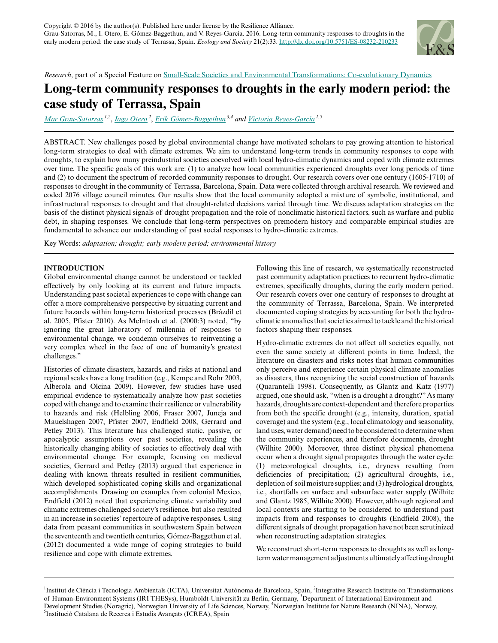

# *Research*, part of a Special Feature on [Small-Scale Societies and Environmental Transformations: Co-evolutionary Dynamics](http://www.ecologyandsociety.org/viewissue.php?sf=113)

# **Long-term community responses to droughts in the early modern period: the case study of Terrassa, Spain**

*[Mar Grau-Satorras](mailto:mar.grau@uab.cat) 1,2* , *[Iago Otero](mailto:iago.otero.armengol@hu-berlin.de)<sup>2</sup>* , *[Erik Gómez-Baggethun](mailto:erik.gomez@nmbu.no) 3,4 and [Victoria Reyes-García](mailto:Victoria.Reyes@uab.cat) 1,5*

ABSTRACT. New challenges posed by global environmental change have motivated scholars to pay growing attention to historical long-term strategies to deal with climate extremes. We aim to understand long-term trends in community responses to cope with droughts, to explain how many preindustrial societies coevolved with local hydro-climatic dynamics and coped with climate extremes over time. The specific goals of this work are: (1) to analyze how local communities experienced droughts over long periods of time and (2) to document the spectrum of recorded community responses to drought. Our research covers over one century (1605-1710) of responses to drought in the community of Terrassa, Barcelona, Spain. Data were collected through archival research. We reviewed and coded 2076 village council minutes. Our results show that the local community adopted a mixture of symbolic, institutional, and infrastructural responses to drought and that drought-related decisions varied through time. We discuss adaptation strategies on the basis of the distinct physical signals of drought propagation and the role of nonclimatic historical factors, such as warfare and public debt, in shaping responses. We conclude that long-term perspectives on premodern history and comparable empirical studies are fundamental to advance our understanding of past social responses to hydro-climatic extremes.

Key Words: *adaptation; drought; early modern period; environmental history*

## **INTRODUCTION**

Global environmental change cannot be understood or tackled effectively by only looking at its current and future impacts. Understanding past societal experiences to cope with change can offer a more comprehensive perspective by situating current and future hazards within long-term historical processes (Brázdil et al. 2005, Pfister 2010). As McIntosh et al. (2000:3) noted, "by ignoring the great laboratory of millennia of responses to environmental change, we condemn ourselves to reinventing a very complex wheel in the face of one of humanity's greatest challenges."

Histories of climate disasters, hazards, and risks at national and regional scales have a long tradition (e.g., Kempe and Rohr 2003, Alberola and Olcina 2009). However, few studies have used empirical evidence to systematically analyze how past societies coped with change and to examine their resilience or vulnerability to hazards and risk (Helbling 2006, Fraser 2007, Juneja and Mauelshagen 2007, Pfister 2007, Endfield 2008, Gerrard and Petley 2013). This literature has challenged static, passive, or apocalyptic assumptions over past societies, revealing the historically changing ability of societies to effectively deal with environmental change. For example, focusing on medieval societies, Gerrard and Petley (2013) argued that experience in dealing with known threats resulted in resilient communities, which developed sophisticated coping skills and organizational accomplishments. Drawing on examples from colonial Mexico, Endfield (2012) noted that experiencing climate variability and climatic extremes challenged society's resilience, but also resulted in an increase in societies' repertoire of adaptive responses. Using data from peasant communities in southwestern Spain between the seventeenth and twentieth centuries, Gómez-Baggethun et al. (2012) documented a wide range of coping strategies to build resilience and cope with climate extremes.

Following this line of research, we systematically reconstructed past community adaptation practices to recurrent hydro-climatic extremes, specifically droughts, during the early modern period. Our research covers over one century of responses to drought at the community of Terrassa, Barcelona, Spain. We interpreted documented coping strategies by accounting for both the hydroclimatic anomalies that societies aimed to tackle and the historical factors shaping their responses.

Hydro-climatic extremes do not affect all societies equally, not even the same society at different points in time. Indeed, the literature on disasters and risks notes that human communities only perceive and experience certain physical climate anomalies as disasters, thus recognizing the social construction of hazards (Quarantelli 1998). Consequently, as Glantz and Katz (1977) argued, one should ask, "when is a drought a drought?" As many hazards, droughts are context-dependent and therefore properties from both the specific drought (e.g., intensity, duration, spatial coverage) and the system (e.g., local climatology and seasonality, land uses, water demand) need to be considered to determine when the community experiences, and therefore documents, drought (Wilhite 2000). Moreover, three distinct physical phenomena occur when a drought signal propagates through the water cycle: (1) meteorological droughts, i.e., dryness resulting from deficiencies of precipitation; (2) agricultural droughts, i.e., depletion of soil moisture supplies; and (3) hydrological droughts, i.e., shortfalls on surface and subsurface water supply (Wilhite and Glantz 1985, Wilhite 2000). However, although regional and local contexts are starting to be considered to understand past impacts from and responses to droughts (Endfield 2008), the different signals of drought propagation have not been scrutinized when reconstructing adaptation strategies.

We reconstruct short-term responses to droughts as well as longterm water management adjustments ultimately affecting drought

<sup>1</sup>Institut de Ciència i Tecnologia Ambientals (ICTA), Universitat Autònoma de Barcelona, Spain, <sup>2</sup>Integrative Research Institute on Transformations of Human-Environment Systems (IRI THESys), Humboldt-Universität zu Berlin, Germany, <sup>3</sup>Department of International Environment and Development Studies (Noragric), Norwegian University of Life Sciences, Norway, <sup>4</sup>Norwegian Institute for Nature Research (NINA), Norway, 5 Institució Catalana de Recerca i Estudis Avançats (ICREA), Spain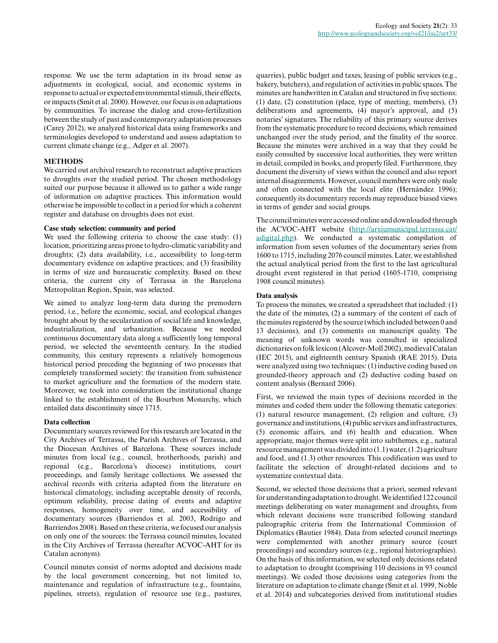response. We use the term adaptation in its broad sense as adjustments in ecological, social, and economic systems in response to actual or expected environmental stimuli, their effects, or impacts (Smit et al. 2000). However, our focus is on adaptations by communities. To increase the dialog and cross-fertilization between the study of past and contemporary adaptation processes (Carey 2012), we analyzed historical data using frameworks and terminologies developed to understand and assess adaptation to current climate change (e.g., Adger et al. 2007).

## **METHODS**

We carried out archival research to reconstruct adaptive practices to droughts over the studied period. The chosen methodology suited our purpose because it allowed us to gather a wide range of information on adaptive practices. This information would otherwise be impossible to collect in a period for which a coherent register and database on droughts does not exist.

## **Case study selection: community and period**

We used the following criteria to choose the case study: (1) location, prioritizing areas prone to hydro-climatic variability and droughts; (2) data availability, i.e., accessibility to long-term documentary evidence on adaptive practices; and (3) feasibility in terms of size and bureaucratic complexity. Based on these criteria, the current city of Terrassa in the Barcelona Metropolitan Region, Spain, was selected.

We aimed to analyze long-term data during the premodern period, i.e., before the economic, social, and ecological changes brought about by the secularization of social life and knowledge, industrialization, and urbanization. Because we needed continuous documentary data along a sufficiently long temporal period, we selected the seventeenth century. In the studied community, this century represents a relatively homogenous historical period preceding the beginning of two processes that completely transformed society: the transition from subsistence to market agriculture and the formation of the modern state. Moreover, we took into consideration the institutional change linked to the establishment of the Bourbon Monarchy, which entailed data discontinuity since 1715.

## **Data collection**

Documentary sources reviewed for this research are located in the City Archives of Terrassa, the Parish Archives of Terrassa, and the Diocesan Archives of Barcelona. These sources include minutes from local (e.g., council, brotherhoods, parish) and regional (e.g., Barcelona's diocese) institutions, court proceedings, and family heritage collections. We assessed the archival records with criteria adapted from the literature on historical climatology, including acceptable density of records, optimum reliability, precise dating of events and adaptive responses, homogeneity over time, and accessibility of documentary sources (Barriendos et al. 2003, Rodrigo and Barriendos 2008). Based on these criteria, we focused our analysis on only one of the sources: the Terrassa council minutes, located in the City Archives of Terrassa (hereafter ACVOC-AHT for its Catalan acronym).

Council minutes consist of norms adopted and decisions made by the local government concerning, but not limited to, maintenance and regulation of infrastructure (e.g., fountains, pipelines, streets), regulation of resource use (e.g., pastures, quarries), public budget and taxes, leasing of public services (e.g., bakery, butchers), and regulation of activities in public spaces. The minutes are handwritten in Catalan and structured in five sections: (1) date, (2) constitution (place, type of meeting, members), (3) deliberations and agreements, (4) mayor's approval, and (5) notaries' signatures. The reliability of this primary source derives from the systematic procedure to record decisions, which remained unchanged over the study period, and the finality of the source. Because the minutes were archived in a way that they could be easily consulted by successive local authorities, they were written in detail, compiled in books, and properly filed. Furthermore, they document the diversity of views within the council and also report internal disagreements. However, council members were only male and often connected with the local elite (Hernández 1996); consequently its documentary records may reproduce biased views in terms of gender and social groups.

The council minutes were accessed online and downloaded through the ACVOC-AHT website [\(http://arxiumunicipal.terrassa.cat/](http://arxiumunicipal.terrassa.cat/adigital.php) [adigital.php](http://arxiumunicipal.terrassa.cat/adigital.php)). We conducted a systematic compilation of information from seven volumes of the documentary series from 1600 to 1715, including 2076 council minutes. Later, we established the actual analytical period from the first to the last agricultural drought event registered in that period (1605-1710, comprising 1908 council minutes).

## **Data analysis**

To process the minutes, we created a spreadsheet that included: (1) the date of the minutes, (2) a summary of the content of each of the minutes registered by the source (which included between 0 and 13 decisions), and (3) comments on manuscript quality. The meaning of unknown words was consulted in specialized dictionaries on folk lexicon (Alcover-Moll 2002), medieval Catalan (IEC 2015), and eighteenth century Spanish (RAE 2015). Data were analyzed using two techniques: (1) inductive coding based on grounded-theory approach and (2) deductive coding based on content analysis (Bernard 2006).

First, we reviewed the main types of decisions recorded in the minutes and coded them under the following thematic categories: (1) natural resource management, (2) religion and culture, (3) governance and institutions, (4) public services and infrastructures, (5) economic affairs, and (6) health and education. When appropriate, major themes were split into subthemes, e.g., natural resource management was divided into (1.1) water, (1.2) agriculture and food, and (1.3) other resources. This codification was used to facilitate the selection of drought-related decisions and to systematize contextual data.

Second, we selected those decisions that a priori, seemed relevant for understanding adaptation to drought. We identified 122 council meetings deliberating on water management and droughts, from which relevant decisions were transcribed following standard paleographic criteria from the International Commission of Diplomatics (Bautier 1984). Data from selected council meetings were complemented with another primary source (court proceedings) and secondary sources (e.g., regional historiographies). On the basis of this information, we selected only decisions related to adaptation to drought (comprising 110 decisions in 93 council meetings). We coded those decisions using categories from the literature on adaptation to climate change (Smit et al. 1999, Noble et al. 2014) and subcategories derived from institutional studies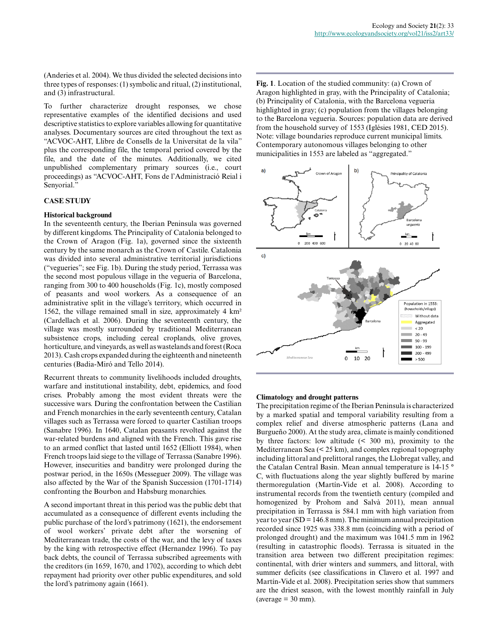(Anderies et al. 2004). We thus divided the selected decisions into three types of responses: (1) symbolic and ritual, (2) institutional, and (3) infrastructural.

To further characterize drought responses, we chose representative examples of the identified decisions and used descriptive statistics to explore variables allowing for quantitative analyses. Documentary sources are cited throughout the text as "ACVOC-AHT, Llibre de Consells de la Universitat de la vila" plus the corresponding file, the temporal period covered by the file, and the date of the minutes. Additionally, we cited unpublished complementary primary sources (i.e., court proceedings) as "ACVOC-AHT, Fons de l'Administració Reial i Senyorial."

#### **CASE STUDY**

#### **Historical background**

In the seventeenth century, the Iberian Peninsula was governed by different kingdoms. The Principality of Catalonia belonged to the Crown of Aragon (Fig. 1a), governed since the sixteenth century by the same monarch as the Crown of Castile. Catalonia was divided into several administrative territorial jurisdictions ("vegueries"; see Fig. 1b). During the study period, Terrassa was the second most populous village in the vegueria of Barcelona, ranging from 300 to 400 households (Fig. 1c), mostly composed of peasants and wool workers. As a consequence of an administrative split in the village's territory, which occurred in 1562, the village remained small in size, approximately 4 km² (Cardellach et al. 2006). During the seventeenth century, the village was mostly surrounded by traditional Mediterranean subsistence crops, including cereal croplands, olive groves, horticulture, and vineyards, as well as wastelands and forest (Roca 2013). Cash crops expanded during the eighteenth and nineteenth centuries (Badia-Miró and Tello 2014).

Recurrent threats to community livelihoods included droughts, warfare and institutional instability, debt, epidemics, and food crises. Probably among the most evident threats were the successive wars. During the confrontation between the Castilian and French monarchies in the early seventeenth century, Catalan villages such as Terrassa were forced to quarter Castilian troops (Sanabre 1996). In 1640, Catalan peasants revolted against the war-related burdens and aligned with the French. This gave rise to an armed conflict that lasted until 1652 (Elliott 1984), when French troops laid siege to the village of Terrassa (Sanabre 1996). However, insecurities and banditry were prolonged during the postwar period, in the 1650s (Messeguer 2009). The village was also affected by the War of the Spanish Succession (1701-1714) confronting the Bourbon and Habsburg monarchies.

A second important threat in this period was the public debt that accumulated as a consequence of different events including the public purchase of the lord's patrimony (1621), the endorsement of wool workers' private debt after the worsening of Mediterranean trade, the costs of the war, and the levy of taxes by the king with retrospective effect (Hernandez 1996). To pay back debts, the council of Terrassa subscribed agreements with the creditors (in 1659, 1670, and 1702), according to which debt repayment had priority over other public expenditures, and sold the lord's patrimony again (1661).

**Fig. 1**. Location of the studied community: (a) Crown of Aragon highlighted in gray, with the Principality of Catalonia; (b) Principality of Catalonia, with the Barcelona vegueria highlighted in gray; (c) population from the villages belonging to the Barcelona vegueria. Sources: population data are derived from the household survey of 1553 (Iglésies 1981, CED 2015). Note: village boundaries reproduce current municipal limits. Contemporary autonomous villages belonging to other municipalities in 1553 are labeled as "aggregated."



#### **Climatology and drought patterns**

The precipitation regime of the Iberian Peninsula is characterized by a marked spatial and temporal variability resulting from a complex relief and diverse atmospheric patterns (Lana and Burgueño 2000). At the study area, climate is mainly conditioned by three factors: low altitude  $( $300 \text{ m}$ ), proximity to the$ Mediterranean Sea (< 25 km), and complex regional topography including littoral and prelittoral ranges, the Llobregat valley, and the Catalan Central Basin. Mean annual temperature is 14-15 ° C, with fluctuations along the year slightly buffered by marine thermoregulation (Martín-Vide et al. 2008). According to instrumental records from the twentieth century (compiled and homogenized by Prohom and Salvà 2011), mean annual precipitation in Terrassa is 584.1 mm with high variation from year to year ( $SD = 146.8$  mm). The minimum annual precipitation recorded since 1925 was 338.8 mm (coinciding with a period of prolonged drought) and the maximum was 1041.5 mm in 1962 (resulting in catastrophic floods). Terrassa is situated in the transition area between two different precipitation regimes: continental, with drier winters and summers, and littoral, with summer deficits (see classifications in Clavero et al. 1997 and Martín-Vide et al. 2008). Precipitation series show that summers are the driest season, with the lowest monthly rainfall in July  $(average = 30$  mm $).$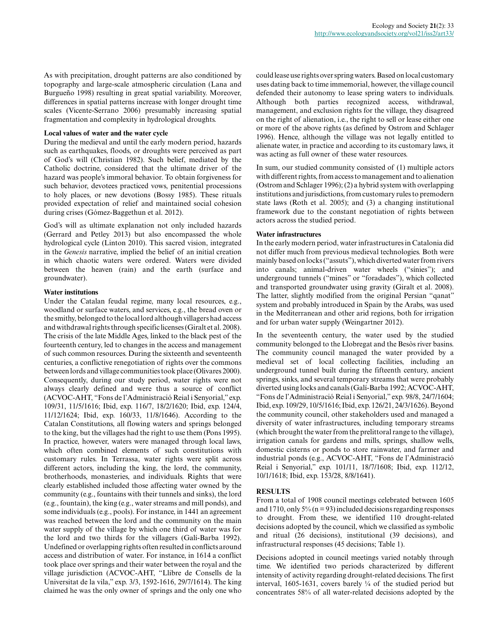As with precipitation, drought patterns are also conditioned by topography and large-scale atmospheric circulation (Lana and Burgueño 1998) resulting in great spatial variability. Moreover, differences in spatial patterns increase with longer drought time scales (Vicente-Serrano 2006) presumably increasing spatial fragmentation and complexity in hydrological droughts.

## **Local values of water and the water cycle**

During the medieval and until the early modern period, hazards such as earthquakes, floods, or droughts were perceived as part of God's will (Christian 1982). Such belief, mediated by the Catholic doctrine, considered that the ultimate driver of the hazard was people's immoral behavior. To obtain forgiveness for such behavior, devotees practiced vows, penitential processions to holy places, or new devotions (Bossy 1985). These rituals provided expectation of relief and maintained social cohesion during crises (Gómez-Baggethun et al. 2012).

God's will as ultimate explanation not only included hazards (Gerrard and Petley 2013) but also encompassed the whole hydrological cycle (Linton 2010). This sacred vision, integrated in the *Genesis* narrative, implied the belief of an initial creation in which chaotic waters were ordered. Waters were divided between the heaven (rain) and the earth (surface and groundwater).

#### **Water institutions**

Under the Catalan feudal regime, many local resources, e.g., woodland or surface waters, and services, e.g., the bread oven or the smithy, belonged to the local lord although villagers had access and withdrawal rights through specific licenses (Giralt et al. 2008). The crisis of the late Middle Ages, linked to the black pest of the fourteenth century, led to changes in the access and management of such common resources. During the sixteenth and seventeenth centuries, a conflictive renegotiation of rights over the commons between lords and village communities took place (Olivares 2000). Consequently, during our study period, water rights were not always clearly defined and were thus a source of conflict (ACVOC-AHT, "Fons de l'Administració Reial i Senyorial," exp. 109/31, 11/5/1616; Ibid, exp. 116/7, 18/2/1620; Ibid, exp. 124/4, 11/12/1624; Ibid, exp. 160/33, 11/8/1646). According to the Catalan Constitutions, all flowing waters and springs belonged to the king, but the villages had the right to use them (Pons 1995). In practice, however, waters were managed through local laws, which often combined elements of such constitutions with customary rules. In Terrassa, water rights were split across different actors, including the king, the lord, the community, brotherhoods, monasteries, and individuals. Rights that were clearly established included those affecting water owned by the community (e.g., fountains with their tunnels and sinks), the lord (e.g., fountain), the king (e.g., water streams and mill ponds), and some individuals (e.g., pools). For instance, in 1441 an agreement was reached between the lord and the community on the main water supply of the village by which one third of water was for the lord and two thirds for the villagers (Galí-Barba 1992). Undefined or overlapping rights often resulted in conflicts around access and distribution of water. For instance, in 1614 a conflict took place over springs and their water between the royal and the village jurisdiction (ACVOC-AHT, "Llibre de Consells de la Universitat de la vila," exp. 3/3, 1592-1616, 29/7/1614). The king claimed he was the only owner of springs and the only one who

could lease use rights over spring waters. Based on local customary uses dating back to time immemorial, however, the village council defended their autonomy to lease spring waters to individuals. Although both parties recognized access, withdrawal, management, and exclusion rights for the village, they disagreed on the right of alienation, i.e., the right to sell or lease either one or more of the above rights (as defined by Ostrom and Schlager 1996). Hence, although the village was not legally entitled to alienate water, in practice and according to its customary laws, it was acting as full owner of these water resources.

In sum, our studied community consisted of (1) multiple actors with different rights, from access to management and to alienation (Ostrom and Schlager 1996); (2) a hybrid system with overlapping institutions and jurisdictions, from customary rules to premodern state laws (Roth et al. 2005); and (3) a changing institutional framework due to the constant negotiation of rights between actors across the studied period.

#### **Water infrastructures**

In the early modern period, water infrastructures in Catalonia did not differ much from previous medieval technologies. Both were mainly based on locks ("assuts"), which diverted water from rivers into canals; animal-driven water wheels ("sínies"); and underground tunnels ("mines" or "foradades"), which collected and transported groundwater using gravity (Giralt et al. 2008). The latter, slightly modified from the original Persian "qanat" system and probably introduced in Spain by the Arabs, was used in the Mediterranean and other arid regions, both for irrigation and for urban water supply (Weingartner 2012).

In the seventeenth century, the water used by the studied community belonged to the Llobregat and the Besòs river basins. The community council managed the water provided by a medieval set of local collecting facilities, including an underground tunnel built during the fifteenth century, ancient springs, sinks, and several temporary streams that were probably diverted using locks and canals (Galí-Barba 1992; ACVOC-AHT, "Fons de l'Administració Reial i Senyorial," exp. 98/8, 24/7/1604; Ibid, exp. 109/29, 10/5/1616; Ibid, exp. 126/21, 24/3/1626). Beyond the community council, other stakeholders used and managed a diversity of water infrastructures, including temporary streams (which brought the water from the prelittoral range to the village), irrigation canals for gardens and mills, springs, shallow wells, domestic cisterns or ponds to store rainwater, and farmer and industrial ponds (e.g., ACVOC-AHT, "Fons de l'Administració Reial i Senyorial," exp. 101/11, 18/7/1608; Ibid, exp. 112/12, 10/1/1618; Ibid, exp. 153/28, 8/8/1641).

#### **RESULTS**

From a total of 1908 council meetings celebrated between 1605 and 1710, only  $5\%$  (n = 93) included decisions regarding responses to drought. From these, we identified 110 drought-related decisions adopted by the council, which we classified as symbolic and ritual (26 decisions), institutional (39 decisions), and infrastructural responses (45 decisions; Table 1).

Decisions adopted in council meetings varied notably through time. We identified two periods characterized by different intensity of activity regarding drought-related decisions. The first interval, 1605-1631, covers barely ¼ of the studied period but concentrates 58% of all water-related decisions adopted by the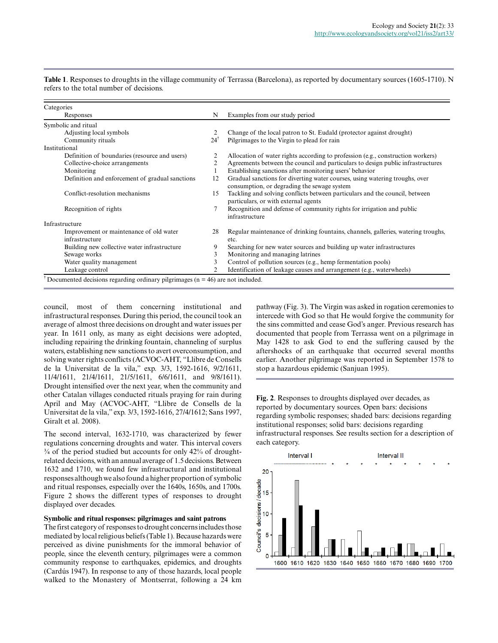| Categories                                      |                |                                                                                                                            |
|-------------------------------------------------|----------------|----------------------------------------------------------------------------------------------------------------------------|
| Responses                                       | N              | Examples from our study period                                                                                             |
| Symbolic and ritual                             |                |                                                                                                                            |
| Adjusting local symbols                         | 2              | Change of the local patron to St. Eudald (protector against drought)                                                       |
| Community rituals                               | $24^{\dagger}$ | Pilgrimages to the Virgin to plead for rain                                                                                |
| Institutional                                   |                |                                                                                                                            |
| Definition of boundaries (resource and users)   | 2              | Allocation of water rights according to profession (e.g., construction workers)                                            |
| Collective-choice arrangements                  | 2              | Agreements between the council and particulars to design public infrastructures                                            |
| Monitoring                                      |                | Establishing sanctions after monitoring users' behavior                                                                    |
| Definition and enforcement of gradual sanctions | 12             | Gradual sanctions for diverting water courses, using watering troughs, over<br>consumption, or degrading the sewage system |
| Conflict-resolution mechanisms                  | 15             | Tackling and solving conflicts between particulars and the council, between<br>particulars, or with external agents        |
| Recognition of rights                           |                | Recognition and defense of community rights for irrigation and public<br>infrastructure                                    |
| Infrastructure                                  |                |                                                                                                                            |
| Improvement or maintenance of old water         | 28             | Regular maintenance of drinking fountains, channels, galleries, watering troughs,                                          |
| infrastructure                                  |                | etc.                                                                                                                       |
| Building new collective water infrastructure    | 9              | Searching for new water sources and building up water infrastructures                                                      |
| Sewage works                                    | 3              | Monitoring and managing latrines                                                                                           |
| Water quality management                        | 3              | Control of pollution sources (e.g., hemp fermentation pools)                                                               |
| Leakage control                                 | 2              | Identification of leakage causes and arrangement (e.g., waterwheels)                                                       |

**Table 1**. Responses to droughts in the village community of Terrassa (Barcelona), as reported by documentary sources (1605-1710). N refers to the total number of decisions.

council, most of them concerning institutional and infrastructural responses. During this period, the council took an average of almost three decisions on drought and water issues per year. In 1611 only, as many as eight decisions were adopted, including repairing the drinking fountain, channeling of surplus waters, establishing new sanctions to avert overconsumption, and solving water rights conflicts (ACVOC-AHT, "Llibre de Consells de la Universitat de la vila," exp. 3/3, 1592-1616, 9/2/1611, 11/4/1611, 21/4/1611, 21/5/1611, 6/6/1611, and 9/8/1611). Drought intensified over the next year, when the community and other Catalan villages conducted rituals praying for rain during April and May (ACVOC-AHT, "Llibre de Consells de la Universitat de la vila," exp. 3/3, 1592-1616, 27/4/1612; Sans 1997, Giralt et al. 2008).

The second interval, 1632-1710, was characterized by fewer regulations concerning droughts and water. This interval covers ¾ of the period studied but accounts for only 42% of droughtrelated decisions, with an annual average of 1.5 decisions. Between 1632 and 1710, we found few infrastructural and institutional responses although we also found a higher proportion of symbolic and ritual responses, especially over the 1640s, 1650s, and 1700s. Figure 2 shows the different types of responses to drought displayed over decades.

# **Symbolic and ritual responses: pilgrimages and saint patrons**

The first category of responses to drought concerns includes those mediated by local religious beliefs (Table 1). Because hazards were perceived as divine punishments for the immoral behavior of people, since the eleventh century, pilgrimages were a common community response to earthquakes, epidemics, and droughts (Cardús 1947). In response to any of those hazards, local people walked to the Monastery of Montserrat, following a 24 km

pathway (Fig. 3). The Virgin was asked in rogation ceremonies to intercede with God so that He would forgive the community for the sins committed and cease God's anger. Previous research has documented that people from Terrassa went on a pilgrimage in May 1428 to ask God to end the suffering caused by the aftershocks of an earthquake that occurred several months earlier. Another pilgrimage was reported in September 1578 to stop a hazardous epidemic (Sanjuan 1995).

**Fig. 2**. Responses to droughts displayed over decades, as reported by documentary sources. Open bars: decisions regarding symbolic responses; shaded bars: decisions regarding institutional responses; solid bars: decisions regarding infrastructural responses. See results section for a description of each category.

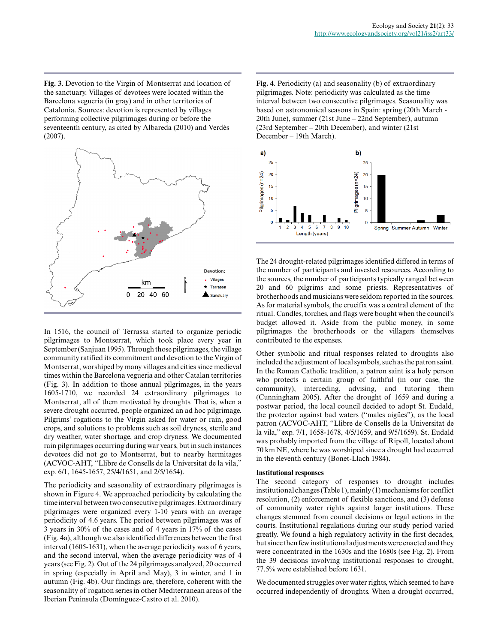**Fig. 3**. Devotion to the Virgin of Montserrat and location of the sanctuary. Villages of devotees were located within the Barcelona vegueria (in gray) and in other territories of Catalonia. Sources: devotion is represented by villages performing collective pilgrimages during or before the seventeenth century, as cited by Albareda (2010) and Verdés (2007).



In 1516, the council of Terrassa started to organize periodic pilgrimages to Montserrat, which took place every year in September (Sanjuan 1995). Through those pilgrimages, the village community ratified its commitment and devotion to the Virgin of Montserrat, worshiped by many villages and cities since medieval times within the Barcelona vegueria and other Catalan territories (Fig. 3). In addition to those annual pilgrimages, in the years 1605-1710, we recorded 24 extraordinary pilgrimages to Montserrat, all of them motivated by droughts. That is, when a severe drought occurred, people organized an ad hoc pilgrimage. Pilgrims' rogations to the Virgin asked for water or rain, good crops, and solutions to problems such as soil dryness, sterile and dry weather, water shortage, and crop dryness. We documented rain pilgrimages occurring during war years, but in such instances devotees did not go to Montserrat, but to nearby hermitages (ACVOC-AHT, "Llibre de Consells de la Universitat de la vila," exp. 6/1, 1645-1657, 25/4/1651, and 2/5/1654).

The periodicity and seasonality of extraordinary pilgrimages is shown in Figure 4. We approached periodicity by calculating the time interval between two consecutive pilgrimages. Extraordinary pilgrimages were organized every 1-10 years with an average periodicity of 4.6 years. The period between pilgrimages was of 3 years in 30% of the cases and of 4 years in 17% of the cases (Fig. 4a), although we also identified differences between the first interval (1605-1631), when the average periodicity was of 6 years, and the second interval, when the average periodicity was of 4 years (see Fig. 2). Out of the 24 pilgrimages analyzed, 20 occurred in spring (especially in April and May), 3 in winter, and 1 in autumn (Fig. 4b). Our findings are, therefore, coherent with the seasonality of rogation series in other Mediterranean areas of the Iberian Peninsula (Domínguez-Castro et al. 2010).

**Fig. 4**. Periodicity (a) and seasonality (b) of extraordinary pilgrimages. Note: periodicity was calculated as the time interval between two consecutive pilgrimages. Seasonality was based on astronomical seasons in Spain: spring (20th March - 20th June), summer (21st June – 22nd September), autumn (23rd September – 20th December), and winter (21st December – 19th March).



The 24 drought-related pilgrimages identified differed in terms of the number of participants and invested resources. According to the sources, the number of participants typically ranged between 20 and 60 pilgrims and some priests. Representatives of brotherhoods and musicians were seldom reported in the sources. As for material symbols, the crucifix was a central element of the ritual. Candles, torches, and flags were bought when the council's budget allowed it. Aside from the public money, in some pilgrimages the brotherhoods or the villagers themselves contributed to the expenses.

Other symbolic and ritual responses related to droughts also included the adjustment of local symbols, such as the patron saint. In the Roman Catholic tradition, a patron saint is a holy person who protects a certain group of faithful (in our case, the community), interceding, advising, and tutoring them (Cunningham 2005). After the drought of 1659 and during a postwar period, the local council decided to adopt St. Eudald, the protector against bad waters ("males aigües"), as the local patron (ACVOC-AHT, "Llibre de Consells de la Universitat de la vila," exp. 7/1, 1658-1678, 4/5/1659, and 9/5/1659). St. Eudald was probably imported from the village of Ripoll, located about 70 km NE, where he was worshiped since a drought had occurred in the eleventh century (Bonet-Llach 1984).

#### **Institutional responses**

The second category of responses to drought includes institutional changes (Table 1), mainly (1) mechanisms for conflict resolution, (2) enforcement of flexible sanctions, and (3) defense of community water rights against larger institutions. These changes stemmed from council decisions or legal actions in the courts. Institutional regulations during our study period varied greatly. We found a high regulatory activity in the first decades, but since then few institutional adjustments were enacted and they were concentrated in the 1630s and the 1680s (see Fig. 2). From the 39 decisions involving institutional responses to drought, 77.5% were established before 1631.

We documented struggles over water rights, which seemed to have occurred independently of droughts. When a drought occurred,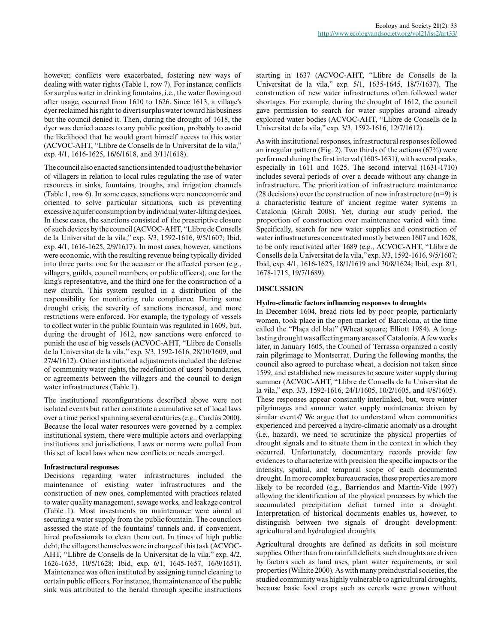dyer reclaimed his right to divert surplus water toward his business but the council denied it. Then, during the drought of 1618, the dyer was denied access to any public position, probably to avoid the likelihood that he would grant himself access to this water (ACVOC-AHT, "Llibre de Consells de la Universitat de la vila," exp. 4/1, 1616-1625, 16/6/1618, and 3/11/1618).

The council also enacted sanctions intended to adjust the behavior of villagers in relation to local rules regulating the use of water resources in sinks, fountains, troughs, and irrigation channels (Table 1, row 6). In some cases, sanctions were noneconomic and oriented to solve particular situations, such as preventing excessive aquifer consumption by individual water-lifting devices. In these cases, the sanctions consisted of the prescriptive closure of such devices by the council (ACVOC-AHT, "Llibre de Consells de la Universitat de la vila," exp. 3/3, 1592-1616, 9/5/1607; Ibid, exp. 4/1, 1616-1625, 2/9/1617). In most cases, however, sanctions were economic, with the resulting revenue being typically divided into three parts: one for the accuser or the affected person (e.g., villagers, guilds, council members, or public officers), one for the king's representative, and the third one for the construction of a new church. This system resulted in a distribution of the responsibility for monitoring rule compliance. During some drought crisis, the severity of sanctions increased, and more restrictions were enforced. For example, the typology of vessels to collect water in the public fountain was regulated in 1609, but, during the drought of 1612, new sanctions were enforced to punish the use of big vessels (ACVOC-AHT, "Llibre de Consells de la Universitat de la vila," exp. 3/3, 1592-1616, 28/10/1609, and 27/4/1612). Other institutional adjustments included the defense of community water rights, the redefinition of users' boundaries, or agreements between the villagers and the council to design water infrastructures (Table 1).

The institutional reconfigurations described above were not isolated events but rather constitute a cumulative set of local laws over a time period spanning several centuries (e.g., Cardús 2000). Because the local water resources were governed by a complex institutional system, there were multiple actors and overlapping institutions and jurisdictions. Laws or norms were pulled from this set of local laws when new conflicts or needs emerged.

#### **Infrastructural responses**

Decisions regarding water infrastructures included the maintenance of existing water infrastructures and the construction of new ones, complemented with practices related to water quality management, sewage works, and leakage control (Table 1). Most investments on maintenance were aimed at securing a water supply from the public fountain. The councilors assessed the state of the fountains' tunnels and, if convenient, hired professionals to clean them out. In times of high public debt, the villagers themselves were in charge of this task (ACVOC-AHT, "Llibre de Consells de la Universitat de la vila," exp. 4/2, 1626-1635, 10/5/1628; Ibid, exp. 6/1, 1645-1657, 16/9/1651). Maintenance was often instituted by assigning tunnel cleaning to certain public officers. For instance, the maintenance of the public sink was attributed to the herald through specific instructions starting in 1637 (ACVOC-AHT, "Llibre de Consells de la Universitat de la vila," exp. 5/1, 1635-1645, 18/7/1637). The construction of new water infrastructures often followed water shortages. For example, during the drought of 1612, the council gave permission to search for water supplies around already exploited water bodies (ACVOC-AHT, "Llibre de Consells de la Universitat de la vila," exp. 3/3, 1592-1616, 12/7/1612).

As with institutional responses, infrastructural responses followed an irregular pattern (Fig. 2). Two thirds of the actions (67%) were performed during the first interval (1605-1631), with several peaks, especially in 1611 and 1625. The second interval (1631-1710) includes several periods of over a decade without any change in infrastructure. The prioritization of infrastructure maintenance (28 decisions) over the construction of new infrastructure  $(n=9)$  is a characteristic feature of ancient regime water systems in Catalonia (Giralt 2008). Yet, during our study period, the proportion of construction over maintenance varied with time. Specifically, search for new water supplies and construction of water infrastructures concentrated mostly between 1607 and 1628, to be only reactivated after 1689 (e.g., ACVOC-AHT, "Llibre de Consells de la Universitat de la vila," exp. 3/3, 1592-1616, 9/5/1607; Ibid, exp. 4/1, 1616-1625, 18/1/1619 and 30/8/1624; Ibid, exp. 8/1, 1678-1715, 19/7/1689).

## **DISCUSSION**

#### **Hydro-climatic factors influencing responses to droughts**

In December 1604, bread riots led by poor people, particularly women, took place in the open market of Barcelona, at the time called the "Plaça del blat" (Wheat square; Elliott 1984). A longlasting drought was affecting many areas of Catalonia. A few weeks later, in January 1605, the Council of Terrassa organized a costly rain pilgrimage to Montserrat. During the following months, the council also agreed to purchase wheat, a decision not taken since 1599, and established new measures to secure water supply during summer (ACVOC-AHT, "Llibre de Consells de la Universitat de la vila," exp. 3/3, 1592-1616, 24/1/1605, 10/2/1605, and 4/8/1605). These responses appear constantly interlinked, but, were winter pilgrimages and summer water supply maintenance driven by similar events? We argue that to understand when communities experienced and perceived a hydro-climatic anomaly as a drought (i.e., hazard), we need to scrutinize the physical properties of drought signals and to situate them in the context in which they occurred. Unfortunately, documentary records provide few evidences to characterize with precision the specific impacts or the intensity, spatial, and temporal scope of each documented drought. In more complex bureaucracies, these properties are more likely to be recorded (e.g., Barriendos and Martín-Vide 1997) allowing the identification of the physical processes by which the accumulated precipitation deficit turned into a drought. Interpretation of historical documents enables us, however, to distinguish between two signals of drought development: agricultural and hydrological droughts.

Agricultural droughts are defined as deficits in soil moisture supplies. Other than from rainfall deficits, such droughts are driven by factors such as land uses, plant water requirements, or soil properties (Wilhite 2000). As with many preindustrial societies, the studied community was highly vulnerable to agricultural droughts, because basic food crops such as cereals were grown without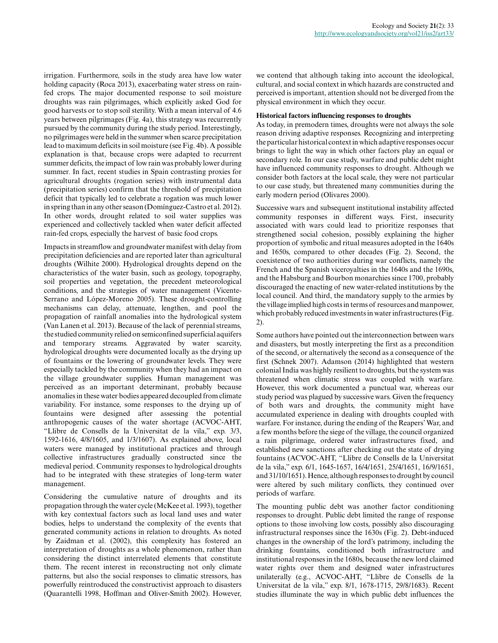irrigation. Furthermore, soils in the study area have low water holding capacity (Roca 2013), exacerbating water stress on rainfed crops. The major documented response to soil moisture droughts was rain pilgrimages, which explicitly asked God for good harvests or to stop soil sterility. With a mean interval of 4.6 years between pilgrimages (Fig. 4a), this strategy was recurrently pursued by the community during the study period. Interestingly, no pilgrimages were held in the summer when scarce precipitation lead to maximum deficits in soil moisture (see Fig. 4b). A possible explanation is that, because crops were adapted to recurrent summer deficits, the impact of low rain was probably lower during summer. In fact, recent studies in Spain contrasting proxies for agricultural droughts (rogation series) with instrumental data (precipitation series) confirm that the threshold of precipitation deficit that typically led to celebrate a rogation was much lower in spring than in any other season (Domínguez-Castro et al. 2012). In other words, drought related to soil water supplies was experienced and collectively tackled when water deficit affected rain-fed crops, especially the harvest of basic food crops.

Impacts in streamflow and groundwater manifest with delay from precipitation deficiencies and are reported later than agricultural droughts (Wilhite 2000). Hydrological droughts depend on the characteristics of the water basin, such as geology, topography, soil properties and vegetation, the precedent meteorological conditions, and the strategies of water management (Vicente-Serrano and López-Moreno 2005). These drought-controlling mechanisms can delay, attenuate, lengthen, and pool the propagation of rainfall anomalies into the hydrological system (Van Lanen et al. 2013). Because of the lack of perennial streams, the studied community relied on semiconfined superficial aquifers and temporary streams. Aggravated by water scarcity, hydrological droughts were documented locally as the drying up of fountains or the lowering of groundwater levels. They were especially tackled by the community when they had an impact on the village groundwater supplies. Human management was perceived as an important determinant, probably because anomalies in these water bodies appeared decoupled from climate variability. For instance, some responses to the drying up of fountains were designed after assessing the potential anthropogenic causes of the water shortage (ACVOC-AHT, "Llibre de Consells de la Universitat de la vila," exp. 3/3, 1592-1616, 4/8/1605, and 1/3/1607). As explained above, local waters were managed by institutional practices and through collective infrastructures gradually constructed since the medieval period. Community responses to hydrological droughts had to be integrated with these strategies of long-term water management.

Considering the cumulative nature of droughts and its propagation through the water cycle (McKee et al. 1993), together with key contextual factors such as local land uses and water bodies, helps to understand the complexity of the events that generated community actions in relation to droughts. As noted by Zaidman et al. (2002), this complexity has fostered an interpretation of droughts as a whole phenomenon, rather than considering the distinct interrelated elements that constitute them. The recent interest in reconstructing not only climate patterns, but also the social responses to climatic stressors, has powerfully reintroduced the constructivist approach to disasters (Quarantelli 1998, Hoffman and Oliver-Smith 2002). However,

we contend that although taking into account the ideological, cultural, and social context in which hazards are constructed and perceived is important, attention should not be diverged from the physical environment in which they occur.

#### **Historical factors influencing responses to droughts**

As today, in premodern times, droughts were not always the sole reason driving adaptive responses. Recognizing and interpreting the particular historical context in which adaptive responses occur brings to light the way in which other factors play an equal or secondary role. In our case study, warfare and public debt might have influenced community responses to drought. Although we consider both factors at the local scale, they were not particular to our case study, but threatened many communities during the early modern period (Olivares 2000).

Successive wars and subsequent institutional instability affected community responses in different ways. First, insecurity associated with wars could lead to prioritize responses that strengthened social cohesion, possibly explaining the higher proportion of symbolic and ritual measures adopted in the 1640s and 1650s, compared to other decades (Fig. 2). Second, the coexistence of two authorities during war conflicts, namely the French and the Spanish viceroyalties in the 1640s and the 1690s, and the Habsburg and Bourbon monarchies since 1700, probably discouraged the enacting of new water-related institutions by the local council. And third, the mandatory supply to the armies by the village implied high costs in terms of resources and manpower, which probably reduced investments in water infrastructures (Fig. 2).

Some authors have pointed out the interconnection between wars and disasters, but mostly interpreting the first as a precondition of the second, or alternatively the second as a consequence of the first (Schnek 2007). Adamson (2014) highlighted that western colonial India was highly resilient to droughts, but the system was threatened when climatic stress was coupled with warfare. However, this work documented a punctual war, whereas our study period was plagued by successive wars. Given the frequency of both wars and droughts, the community might have accumulated experience in dealing with droughts coupled with warfare. For instance, during the ending of the Reapers' War, and a few months before the siege of the village, the council organized a rain pilgrimage, ordered water infrastructures fixed, and established new sanctions after checking out the state of drying fountains (ACVOC-AHT, "Llibre de Consells de la Universitat de la vila," exp. 6/1, 1645-1657, 16/4/1651, 25/4/1651, 16/9/1651, and 31/10/1651). Hence, although responses to drought by council were altered by such military conflicts, they continued over periods of warfare.

The mounting public debt was another factor conditioning responses to drought. Public debt limited the range of response options to those involving low costs, possibly also discouraging infrastructural responses since the 1630s (Fig. 2). Debt-induced changes in the ownership of the lord's patrimony, including the drinking fountains, conditioned both infrastructure and institutional responses in the 1680s, because the new lord claimed water rights over them and designed water infrastructures unilaterally (e.g., ACVOC-AHT, "Llibre de Consells de la Universitat de la vila," exp. 8/1, 1678-1715, 29/8/1683). Recent studies illuminate the way in which public debt influences the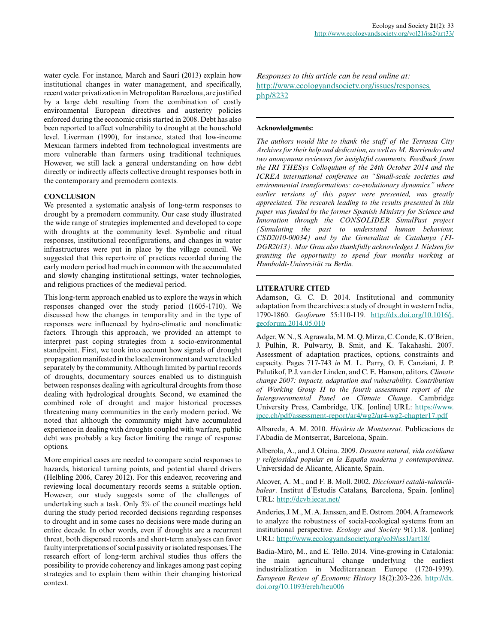water cycle. For instance, March and Saurí (2013) explain how institutional changes in water management, and specifically, recent water privatization in Metropolitan Barcelona, are justified by a large debt resulting from the combination of costly environmental European directives and austerity policies enforced during the economic crisis started in 2008. Debt has also been reported to affect vulnerability to drought at the household level. Liverman (1990), for instance, stated that low-income Mexican farmers indebted from technological investments are more vulnerable than farmers using traditional techniques. However, we still lack a general understanding on how debt directly or indirectly affects collective drought responses both in the contemporary and premodern contexts.

#### **CONCLUSION**

We presented a systematic analysis of long-term responses to drought by a premodern community. Our case study illustrated the wide range of strategies implemented and developed to cope with droughts at the community level. Symbolic and ritual responses, institutional reconfigurations, and changes in water infrastructures were put in place by the village council. We suggested that this repertoire of practices recorded during the early modern period had much in common with the accumulated and slowly changing institutional settings, water technologies, and religious practices of the medieval period.

This long-term approach enabled us to explore the ways in which responses changed over the study period (1605-1710). We discussed how the changes in temporality and in the type of responses were influenced by hydro-climatic and nonclimatic factors. Through this approach, we provided an attempt to interpret past coping strategies from a socio-environmental standpoint. First, we took into account how signals of drought propagation manifested in the local environment and were tackled separately by the community. Although limited by partial records of droughts, documentary sources enabled us to distinguish between responses dealing with agricultural droughts from those dealing with hydrological droughts. Second, we examined the combined role of drought and major historical processes threatening many communities in the early modern period. We noted that although the community might have accumulated experience in dealing with droughts coupled with warfare, public debt was probably a key factor limiting the range of response options.

More empirical cases are needed to compare social responses to hazards, historical turning points, and potential shared drivers (Helbling 2006, Carey 2012). For this endeavor, recovering and reviewing local documentary records seems a suitable option. However, our study suggests some of the challenges of undertaking such a task. Only 5% of the council meetings held during the study period recorded decisions regarding responses to drought and in some cases no decisions were made during an entire decade. In other words, even if droughts are a recurrent threat, both dispersed records and short-term analyses can favor faulty interpretations of social passivity or isolated responses. The research effort of long-term archival studies thus offers the possibility to provide coherency and linkages among past coping strategies and to explain them within their changing historical context.

*Responses to this article can be read online at:* [http://www.ecologyandsociety.org/issues/responses.](http://www.ecologyandsociety.org/issues/responses.php/8232) [php/8232](http://www.ecologyandsociety.org/issues/responses.php/8232)

#### **Acknowledgments:**

*The authors would like to thank the staff of the Terrassa City Archives for their help and dedication, as well as M. Barriendos and two anonymous reviewers for insightful comments. Feedback from the IRI THESys Colloquium of the 24th October 2014 and the ICREA international conference on "Small-scale societies and environmental transformations: co-evolutionary dynamics," where earlier versions of this paper were presented, was greatly appreciated. The research leading to the results presented in this paper was funded by the former Spanish Ministry for Science and Innovation through the CONSOLIDER SimulPast project (Simulating the past to understand human behaviour, CSD2010-00034) and by the Generalitat de Catalunya (FI-DGR2013). Mar Grau also thankfully acknowledges J. Nielsen for granting the opportunity to spend four months working at Humboldt-Universität zu Berlin.*

## **LITERATURE CITED**

Adamson, G. C. D. 2014. Institutional and community adaptation from the archives: a study of drought in western India, 1790-1860. *Geoforum* 55:110-119. [http://dx.doi.org/10.1016/j.](http://dx.doi.org/10.1016%2Fj.geoforum.2014.05.010) [geoforum.2014.05.010](http://dx.doi.org/10.1016%2Fj.geoforum.2014.05.010) 

Adger, W. N., S. Agrawala, M. M. Q. Mirza, C. Conde, K. O'Brien, J. Pulhin, R. Pulwarty, B. Smit, and K. Takahashi. 2007. Assessment of adaptation practices, options, constraints and capacity. Pages 717-743 *in* M. L. Parry, O. F. Canziani, J. P. Palutikof, P. J. van der Linden, and C. E. Hanson, editors. *Climate change 2007: impacts, adaptation and vulnerability. Contribution of Working Group II to the fourth assessment report of the Intergovernmental Panel on Climate Change*. Cambridge University Press, Cambridge, UK. [online] URL: [https://www.](https://www.ipcc.ch/pdf/assessment-report/ar4/wg2/ar4-wg2-chapter17.pdf) [ipcc.ch/pdf/assessment-report/ar4/wg2/ar4-wg2-chapter17.pdf](https://www.ipcc.ch/pdf/assessment-report/ar4/wg2/ar4-wg2-chapter17.pdf)

Albareda, A. M. 2010. *Història de Montserrat*. Publicacions de l'Abadia de Montserrat, Barcelona, Spain.

Alberola, A., and J. Olcina. 2009. *Desastre natural, vida cotidiana y religiosidad popular en la España moderna y contemporánea*. Universidad de Alicante, Alicante, Spain.

Alcover, A. M., and F. B. Moll. 2002. *Diccionari català-valenciàbalear*. Institut d'Estudis Catalans, Barcelona, Spain. [online] URL:<http://dcvb.iecat.net/>

Anderies, J. M., M. A. Janssen, and E. Ostrom. 2004. A framework to analyze the robustness of social-ecological systems from an institutional perspective. *Ecology and Society* 9(1):18. [online] URL:<http://www.ecologyandsociety.org/vol9/iss1/art18/>

Badia-Miró, M., and E. Tello. 2014. Vine-growing in Catalonia: the main agricultural change underlying the earliest industrialization in Mediterranean Europe (1720-1939). *European Review of Economic History* 18(2):203-226. [http://dx.](http://dx.doi.org/10.1093/ereh/heu006) [doi.org/10.1093/ereh/heu006](http://dx.doi.org/10.1093/ereh/heu006)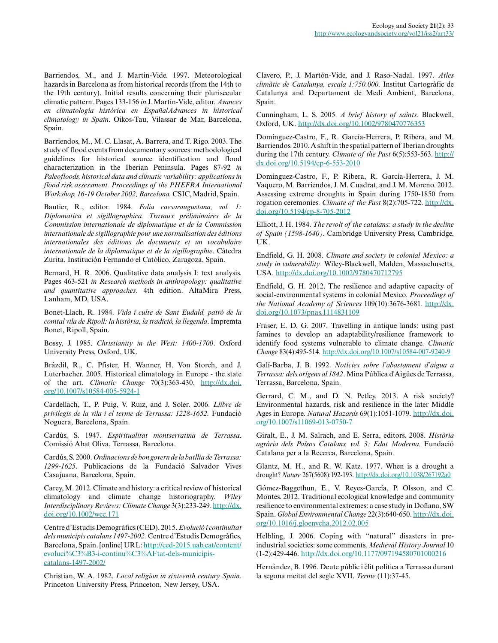Barriendos, M., and J. Martín-Vide. 1997. Meteorological hazards in Barcelona as from historical records (from the 14th to the 19th century). Initial results concerning their plurisecular climatic pattern. Pages 133-156 *in* J. Martín-Vide, editor. *Avances en climatología histórica en España/Advances in historical climatology in Spain*. Oikos-Tau, Vilassar de Mar, Barcelona, Spain.

Barriendos, M., M. C. Llasat, A. Barrera, and T. Rigo. 2003. The study of flood events from documentary sources: methodological guidelines for historical source identification and flood characterization in the Iberian Peninsula. Pages 87-92 *in Paleofloods, historical data and climatic variability: applications in flood risk assessment. Proceedings of the PHEFRA International Workshop, 16-19 October 2002, Barcelona.* CSIC, Madrid, Spain.

Bautier, R., editor. 1984. *Folia caesaraugustana, vol. 1: Diplomatica et sigillographica. Travaux préliminaires de la Commission internationale de diplomatique et de la Commission internationale de sigillographie pour une normalisation des éditions internationales des éditions de documents et un vocabulaire internationale de la diplomatique et de la sigillographie*. Cátedra Zurita, Institución Fernando el Católico, Zaragoza, Spain.

Bernard, H. R. 2006. Qualitative data analysis I: text analysis. Pages 463-521 *in Research methods in anthropology: qualitative and quantitative approaches*. 4th edition. AltaMira Press, Lanham, MD, USA.

Bonet-Llach, R. 1984. *Vida i culte de Sant Eudald, patró de la comtal vila de Ripoll: la història, la tradició, la llegenda*. Impremta Bonet, Ripoll, Spain.

Bossy, J. 1985. *Christianity in the West: 1400-1700*. Oxford University Press, Oxford, UK.

Brázdil, R., C. Pfister, H. Wanner, H. Von Storch, and J. Luterbacher. 2005. Historical climatology in Europe - the state of the art. *Climatic Change* 70(3):363-430. [http://dx.doi.](http://dx.doi.org/10.1007%2Fs10584-005-5924-1) [org/10.1007/s10584-005-5924-1](http://dx.doi.org/10.1007%2Fs10584-005-5924-1)

Cardellach, T., P. Puig, V. Ruiz, and J. Soler. 2006. *Llibre de privilegis de la vila i el terme de Terrassa: 1228-1652.* Fundació Noguera, Barcelona, Spain.

Cardús, S. 1947. *Espiritualitat montserratina de Terrassa*. Comissió Abat Oliva, Terrassa, Barcelona.

Cardús, S. 2000. *Ordinacions de bon govern de la batllia de Terrassa: 1299-1625*. Publicacions de la Fundació Salvador Vives Casajuana, Barcelona, Spain.

Carey, M. 2012. Climate and history: a critical review of historical climatology and climate change historiography. *Wiley Interdisciplinary Reviews: Climate Change* 3(3):233-249. [http://dx.](http://dx.doi.org/10.1002%2Fwcc.171) [doi.org/10.1002/wcc.171](http://dx.doi.org/10.1002%2Fwcc.171)

Centre d'Estudis Demogràfics (CED). 2015. *Evolució i continuïtat dels municipis catalans 1497-2002.* Centre d'Estudis Demogràfics, Barcelona, Spain. [online] URL: [http://ced-2015.uab.cat/content/](http://ced-2015.uab.cat/content/evoluci%C3%B3-i-continu%C3%AFtat-dels-municipis-catalans-1497-2002) [evoluci%C3%B3-i-continu%C3%AFtat-dels-municipis](http://ced-2015.uab.cat/content/evoluci%C3%B3-i-continu%C3%AFtat-dels-municipis-catalans-1497-2002)[catalans-1497-2002/](http://ced-2015.uab.cat/content/evoluci%C3%B3-i-continu%C3%AFtat-dels-municipis-catalans-1497-2002) 

Christian, W. A. 1982. *Local religion in sixteenth century Spain*. Princeton University Press, Princeton, New Jersey, USA.

Clavero, P., J. Martón-Vide, and J. Raso-Nadal. 1997. *Atles climàtic de Catalunya, escala 1:750.000.* Institut Cartogràfic de Catalunya and Departament de Medi Ambient, Barcelona, Spain.

Cunningham, L. S. 2005. *A brief history of saints*. Blackwell, Oxford, UK. [http://dx.doi.org/10.1002/9780470776353](http://dx.doi.org/10.1002%2F9780470776353)

Domínguez-Castro, F., R. García-Herrera, P. Ribera, and M. Barriendos. 2010. A shift in the spatial pattern of Iberian droughts during the 17th century. *Climate of the Past* 6(5):553-563. [http://](http://dx.doi.org/10.5194/cp-6-553-2010) [dx.doi.org/10.5194/cp-6-553-2010](http://dx.doi.org/10.5194/cp-6-553-2010) 

Domínguez-Castro, F., P. Ribera, R. García-Herrera, J. M. Vaquero, M. Barriendos, J. M. Cuadrat, and J. M. Moreno. 2012. Assessing extreme droughts in Spain during 1750-1850 from rogation ceremonies. *Climate of the Past* 8(2):705-722. [http://dx.](http://dx.doi.org/10.5194/cp-8-705-2012) [doi.org/10.5194/cp-8-705-2012](http://dx.doi.org/10.5194/cp-8-705-2012) 

Elliott, J. H. 1984. *The revolt of the catalans: a study in the decline of Spain (1598-1640).* Cambridge University Press, Cambridge, UK.

Endfield, G. H. 2008. *Climate and society in colonial Mexico: a study in vulnerability*. Wiley-Blackwell, Malden, Massachusetts, USA. [http://dx.doi.org/10.1002/9780470712795](http://dx.doi.org/10.1002%2F9780470712795) 

Endfield, G. H. 2012. The resilience and adaptive capacity of social-environmental systems in colonial Mexico. *Proceedings of the National Academy of Sciences* 109(10):3676-3681. [http://dx.](http://dx.doi.org/10.1073%2Fpnas.1114831109) [doi.org/10.1073/pnas.1114831109](http://dx.doi.org/10.1073%2Fpnas.1114831109) 

Fraser, E. D. G. 2007. Travelling in antique lands: using past famines to develop an adaptability/resilience framework to identify food systems vulnerable to climate change. *Climatic Change* 83(4):495-514. [http://dx.doi.org/10.1007/s10584-007-9240-9](http://dx.doi.org/10.1007%2Fs10584-007-9240-9) 

Galí-Barba, J. B. 1992. *Notícies sobre l'abastament d'aigua a Terrassa: dels orígens al 1842*. Mina Pública d'Aigües de Terrassa, Terrassa, Barcelona, Spain.

Gerrard, C. M., and D. N. Petley. 2013. A risk society? Environmental hazards, risk and resilience in the later Middle Ages in Europe. *Natural Hazards* 69(1):1051-1079. [http://dx.doi.](http://dx.doi.org/10.1007%2Fs11069-013-0750-7) [org/10.1007/s11069-013-0750-7](http://dx.doi.org/10.1007%2Fs11069-013-0750-7)

Giralt, E., J. M. Salrach, and E. Serra, editors. 2008. *Història agrària dels Països Catalans, vol. 3: Edat Moderna.* Fundació Catalana per a la Recerca, Barcelona, Spain.

Glantz, M. H., and R. W. Katz. 1977. When is a drought a drought? *Nature* 267(5608):192-193.<http://dx.doi.org/10.1038/267192a0>

Gómez-Baggethun, E., V. Reyes-García, P. Olsson, and C. Montes. 2012. Traditional ecological knowledge and community resilience to environmental extremes: a case study in Doñana, SW Spain. *Global Environmental Change* 22(3):640-650. [http://dx.doi.](http://dx.doi.org/10.1016%2Fj.gloenvcha.2012.02.005) [org/10.1016/j.gloenvcha.2012.02.005](http://dx.doi.org/10.1016%2Fj.gloenvcha.2012.02.005)

Helbling, J. 2006. Coping with "natural" disasters in preindustrial societies: some comments. *Medieval History Journal* 10 (1-2):429-446. [http://dx.doi.org/10.1177/097194580701000216](http://dx.doi.org/10.1177%2F097194580701000216)

Hernández, B. 1996. Deute públic i èlit política a Terrassa durant la segona meitat del segle XVII. *Terme* (11):37-45.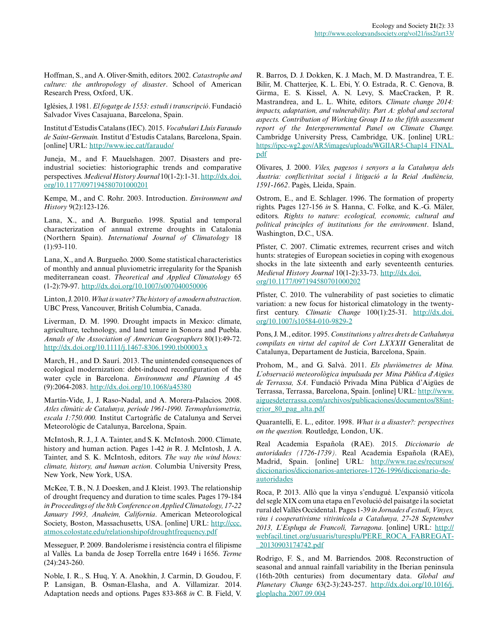Hoffman, S., and A. Oliver-Smith, editors. 2002. *Catastrophe and culture: the anthropology of disaster*. School of American Research Press, Oxford, UK.

Iglésies, J. 1981. *El fogatge de 1553: estudi i transcripció*. Fundació Salvador Vives Casajuana, Barcelona, Spain.

Institut d'Estudis Catalans (IEC). 2015. *Vocabulari Lluís Faraudo de Saint-Germain.* Institut d'Estudis Catalans, Barcelona, Spain. [online] URL: <http://www.iec.cat/faraudo/>

Juneja, M., and F. Mauelshagen. 2007. Disasters and preindustrial societies: historiographic trends and comparative perspectives. *Medieval History Journal* 10(1-2):1-31. [http://dx.doi.](http://dx.doi.org/10.1177%2F097194580701000201) [org/10.1177/097194580701000201](http://dx.doi.org/10.1177%2F097194580701000201)

Kempe, M., and C. Rohr. 2003. Introduction. *Environment and History* 9(2):123-126.

Lana, X., and A. Burgueño. 1998. Spatial and temporal characterization of annual extreme droughts in Catalonia (Northern Spain). *International Journal of Climatology* 18  $(1):93-110.$ 

Lana, X., and A. Burgueño. 2000. Some statistical characteristics of monthly and annual pluviometric irregularity for the Spanish mediterranean coast. *Theoretical and Applied Climatology* 65 (1-2):79-97. [http://dx.doi.org/10.1007/s007040050006](http://dx.doi.org/10.1007%2Fs007040050006) 

Linton, J. 2010. *What is water? The history of a modern abstraction*. UBC Press, Vancouver, British Columbia, Canada.

Liverman, D. M. 1990. Drought impacts in Mexico: climate, agriculture, technology, and land tenure in Sonora and Puebla. *Annals of the Association of American Geographers* 80(1):49-72. [http://dx.doi.org/10.1111/j.1467-8306.1990.tb00003.x](http://dx.doi.org/10.1111%2Fj.1467-8306.1990.tb00003.x)

March, H., and D. Saurí. 2013. The unintended consequences of ecological modernization: debt-induced reconfiguration of the water cycle in Barcelona. *Environment and Planning A* 45 (9):2064-2083. [http://dx.doi.org/10.1068/a45380](http://dx.doi.org/10.1068%2Fa45380) 

Martín-Vide, J., J. Raso-Nadal, and A. Morera-Palacios. 2008. *Atles climàtic de Catalunya, període 1961-1990. Termopluviometria, escala 1:750.000.* Institut Cartogràfic de Catalunya and Servei Meteorològic de Catalunya, Barcelona, Spain.

McIntosh, R. J., J. A. Tainter, and S. K. McIntosh. 2000. Climate, history and human action. Pages 1-42 *in* R. J. McIntosh, J. A. Tainter, and S. K. McIntosh, editors. *The way the wind blows: climate, history, and human action*. Columbia University Press, New York, New York, USA.

McKee, T. B., N. J. Doesken, and J. Kleist. 1993. The relationship of drought frequency and duration to time scales. Pages 179-184 *in Proceedings of the 8th Conference on Applied Climatology, 17-22 January 1993, Anaheim, California*. American Meteorological Society, Boston, Massachusetts, USA. [online] URL: [http://ccc.](http://ccc.atmos.colostate.edu/relationshipofdroughtfrequency.pdf) [atmos.colostate.edu/relationshipofdroughtfrequency.pdf](http://ccc.atmos.colostate.edu/relationshipofdroughtfrequency.pdf)

Messeguer, P. 2009. Bandolerisme i resistència contra el filipisme al Vallès. La banda de Josep Torrella entre 1649 i 1656. *Terme* (24):243-260.

Noble, I. R., S. Huq, Y. A. Anokhin, J. Carmin, D. Goudou, F. P. Lansigan, B. Osman-Elasha, and A. Villamizar. 2014. Adaptation needs and options. Pages 833-868 *in* C. B. Field, V. R. Barros, D. J. Dokken, K. J. Mach, M. D. Mastrandrea, T. E. Bilir, M. Chatterjee, K. L. Ebi, Y. O. Estrada, R. C. Genova, B. Girma, E. S. Kissel, A. N. Levy, S. MacCracken, P. R. Mastrandrea, and L. L. White, editors. *Climate change 2014: impacts, adaptation, and vulnerability. Part A: global and sectoral aspects. Contribution of Working Group II to the fifth assessment report of the Intergovernmental Panel on Climate Change.* Cambridge University Press, Cambridge, UK. [online] URL: [https://ipcc-wg2.gov/AR5/images/uploads/WGIIAR5-Chap14\\_FINAL.](https://ipcc-wg2.gov/AR5/images/uploads/WGIIAR5-Chap14_FINAL.pdf) [pdf](https://ipcc-wg2.gov/AR5/images/uploads/WGIIAR5-Chap14_FINAL.pdf)

Olivares, J. 2000. *Viles, pagesos i senyors a la Catalunya dels Àustria: conflictivitat social i litigació a la Reial Audiència, 1591-1662*. Pagès, Lleida, Spain.

Ostrom, E., and E. Schlager. 1996. The formation of property rights. Pages 127-156 *in* S. Hanna, C. Folke, and K.-G. Mäler, editors. *Rights to nature: ecological, economic, cultural and political principles of institutions for the environment*. Island, Washington, D.C., USA.

Pfister, C. 2007. Climatic extremes, recurrent crises and witch hunts: strategies of European societies in coping with exogenous shocks in the late sixteenth and early seventeenth centuries. *Medieval History Journal* 10(1-2):33-73. [http://dx.doi.](http://dx.doi.org/10.1177%2F097194580701000202) [org/10.1177/097194580701000202](http://dx.doi.org/10.1177%2F097194580701000202)

Pfister, C. 2010. The vulnerability of past societies to climatic variation: a new focus for historical climatology in the twentyfirst century. *Climatic Change* 100(1):25-31. [http://dx.doi.](http://dx.doi.org/10.1007%2Fs10584-010-9829-2) [org/10.1007/s10584-010-9829-2](http://dx.doi.org/10.1007%2Fs10584-010-9829-2)

Pons, J. M., editor. 1995. *Constitutions y altres drets de Cathalunya compilats en virtut del capitol de Cort LXXXII* Generalitat de Catalunya, Departament de Justícia, Barcelona, Spain.

Prohom, M., and G. Salvà. 2011. *Els pluviòmetres de Mina. L'observació meteorològica impulsada per Mina Pública d'Aigües de Terrassa, SA*. Fundació Privada Mina Pública d'Aigües de Terrassa, Terrassa, Barcelona, Spain. [online] URL: [http://www.](http://www.aiguesdeterrassa.com/archivos/publicaciones/documentos/88interior_80_pag_alta.pdf) [aiguesdeterrassa.com/archivos/publicaciones/documentos/88int](http://www.aiguesdeterrassa.com/archivos/publicaciones/documentos/88interior_80_pag_alta.pdf)[erior\\_80\\_pag\\_alta.pdf](http://www.aiguesdeterrassa.com/archivos/publicaciones/documentos/88interior_80_pag_alta.pdf)

Quarantelli, E. L., editor. 1998. *What is a disaster?: perspectives on the question.* Routledge, London, UK.

Real Academia Española (RAE). 2015. *Diccionario de autoridades (1726-1739).* Real Academia Española (RAE), Madrid, Spain. [online] URL: [http://www.rae.es/recursos/](http://www.rae.es/recursos/diccionarios/diccionarios-anteriores-1726-1996/diccionario-de-autoridades) [diccionarios/diccionarios-anteriores-1726-1996/diccionario-de](http://www.rae.es/recursos/diccionarios/diccionarios-anteriores-1726-1996/diccionario-de-autoridades)[autoridades](http://www.rae.es/recursos/diccionarios/diccionarios-anteriores-1726-1996/diccionario-de-autoridades)

Roca, P. 2013. Allò que la vinya s'endugué. L'expansió vitícola del segle XIX com una etapa en l'evolució del paisatge i la societat rural del Vallès Occidental. Pages 1-39 *in Jornades d'estudi, Vinyes, vins i cooperativisme vitivinícola a Catalunya, 27-28 September 2013, L'Espluga de Francolí, Tarragona*. [online] URL: [http://](http://webfacil.tinet.org/usuaris/turesplu/PERE_ROCA_FABREGAT_20130903174742.pdf) [webfacil.tinet.org/usuaris/turesplu/PERE\\_ROCA\\_FABREGAT](http://webfacil.tinet.org/usuaris/turesplu/PERE_ROCA_FABREGAT_20130903174742.pdf) [\\_20130903174742.pdf](http://webfacil.tinet.org/usuaris/turesplu/PERE_ROCA_FABREGAT_20130903174742.pdf)

Rodrigo, F. S., and M. Barriendos. 2008. Reconstruction of seasonal and annual rainfall variability in the Iberian peninsula (16th-20th centuries) from documentary data. *Global and Planetary Change* 63(2-3):243-257. [http://dx.doi.org/10.1016/j.](http://dx.doi.org/10.1016/j.gloplacha.2007.09.004) [gloplacha.2007.09.004](http://dx.doi.org/10.1016/j.gloplacha.2007.09.004)